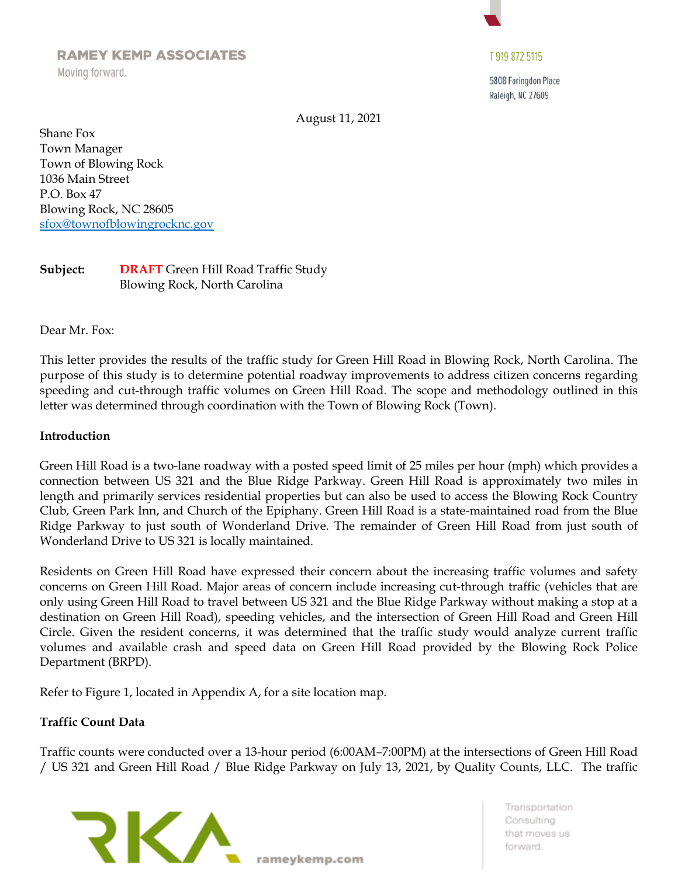# **RAMEY KEMP ASSOCIATES**

Moving forward.

# T 919 872 5115

5808 Faringdon Place Raleigh, NC 27609

August 11, 2021

Shane Fox Town Manager Town of Blowing Rock 1036 Main Street P.O. Box 47 Blowing Rock, NC 28605 [sfox@townofblowingrocknc.gov](mailto:sfox@townofblowingrocknc.gov)

# **Subject: DRAFT** Green Hill Road Traffic Study Blowing Rock, North Carolina

Dear Mr. Fox:

This letter provides the results of the traffic study for Green Hill Road in Blowing Rock, North Carolina. The purpose of this study is to determine potential roadway improvements to address citizen concerns regarding speeding and cut-through traffic volumes on Green Hill Road. The scope and methodology outlined in this letter was determined through coordination with the Town of Blowing Rock (Town).

#### **Introduction**

Green Hill Road is a two-lane roadway with a posted speed limit of 25 miles per hour (mph) which provides a connection between US 321 and the Blue Ridge Parkway. Green Hill Road is approximately two miles in length and primarily services residential properties but can also be used to access the Blowing Rock Country Club, Green Park Inn, and Church of the Epiphany. Green Hill Road is a state-maintained road from the Blue Ridge Parkway to just south of Wonderland Drive. The remainder of Green Hill Road from just south of Wonderland Drive to US 321 is locally maintained.

Residents on Green Hill Road have expressed their concern about the increasing traffic volumes and safety concerns on Green Hill Road. Major areas of concern include increasing cut-through traffic (vehicles that are only using Green Hill Road to travel between US 321 and the Blue Ridge Parkway without making a stop at a destination on Green Hill Road), speeding vehicles, and the intersection of Green Hill Road and Green Hill Circle. Given the resident concerns, it was determined that the traffic study would analyze current traffic volumes and available crash and speed data on Green Hill Road provided by the Blowing Rock Police Department (BRPD).

Refer to Figure 1, located in Appendix A, for a site location map.

#### **Traffic Count Data**

Traffic counts were conducted over a 13-hour period (6:00AM–7:00PM) at the intersections of Green Hill Road / US 321 and Green Hill Road / Blue Ridge Parkway on July 13, 2021, by Quality Counts, LLC. The traffic

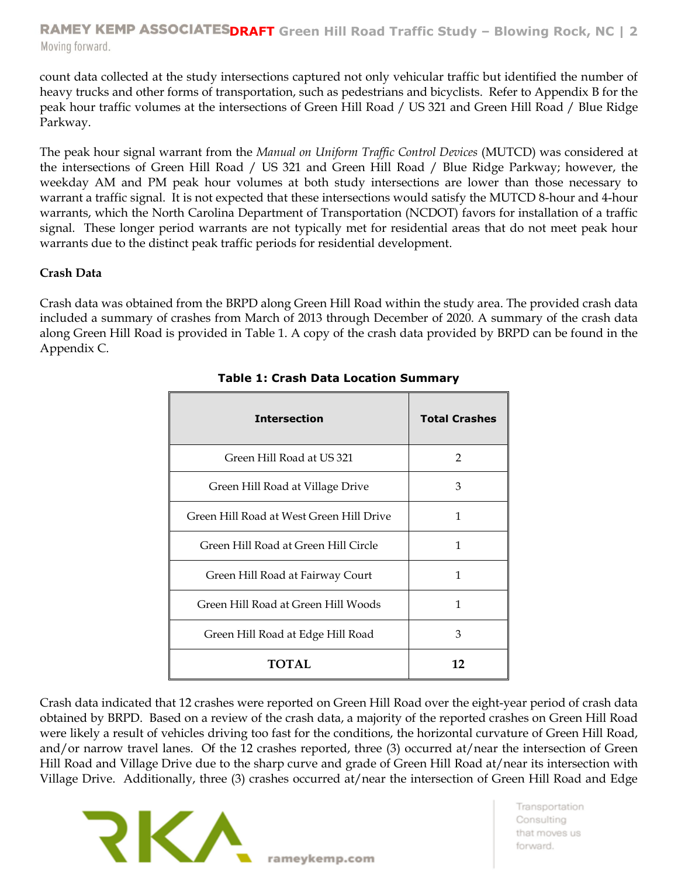**RAMEY KEMP ASSOCIATESDRAFT** Green Hill Road Traffic Study - Blowing Rock, NC | 2 Moving forward.

count data collected at the study intersections captured not only vehicular traffic but identified the number of heavy trucks and other forms of transportation, such as pedestrians and bicyclists. Refer to Appendix B for the peak hour traffic volumes at the intersections of Green Hill Road / US 321 and Green Hill Road / Blue Ridge Parkway.

The peak hour signal warrant from the *Manual on Uniform Traffic Control Devices* (MUTCD) was considered at the intersections of Green Hill Road / US 321 and Green Hill Road / Blue Ridge Parkway; however, the weekday AM and PM peak hour volumes at both study intersections are lower than those necessary to warrant a traffic signal. It is not expected that these intersections would satisfy the MUTCD 8-hour and 4-hour warrants, which the North Carolina Department of Transportation (NCDOT) favors for installation of a traffic signal. These longer period warrants are not typically met for residential areas that do not meet peak hour warrants due to the distinct peak traffic periods for residential development.

# **Crash Data**

Crash data was obtained from the BRPD along Green Hill Road within the study area. The provided crash data included a summary of crashes from March of 2013 through December of 2020. A summary of the crash data along Green Hill Road is provided in Table 1. A copy of the crash data provided by BRPD can be found in the Appendix C.

| <b>Intersection</b>                      | <b>Total Crashes</b> |  |  |
|------------------------------------------|----------------------|--|--|
| Green Hill Road at US 321                | 2                    |  |  |
| Green Hill Road at Village Drive         | 3                    |  |  |
| Green Hill Road at West Green Hill Drive | 1                    |  |  |
| Green Hill Road at Green Hill Circle     | 1                    |  |  |
| Green Hill Road at Fairway Court         | 1                    |  |  |
| Green Hill Road at Green Hill Woods      | 1                    |  |  |
| 3<br>Green Hill Road at Edge Hill Road   |                      |  |  |
| TOTAL                                    | 12                   |  |  |

# **Table 1: Crash Data Location Summary**

Crash data indicated that 12 crashes were reported on Green Hill Road over the eight-year period of crash data obtained by BRPD. Based on a review of the crash data, a majority of the reported crashes on Green Hill Road were likely a result of vehicles driving too fast for the conditions, the horizontal curvature of Green Hill Road, and/or narrow travel lanes. Of the 12 crashes reported, three (3) occurred at/near the intersection of Green Hill Road and Village Drive due to the sharp curve and grade of Green Hill Road at/near its intersection with Village Drive. Additionally, three (3) crashes occurred at/near the intersection of Green Hill Road and Edge



rameykemp.com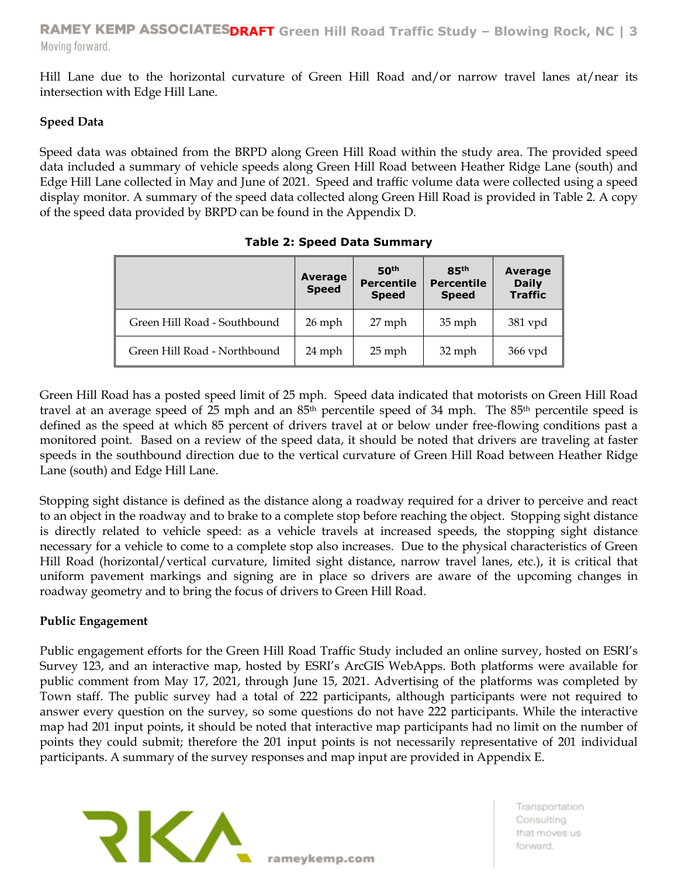Hill Lane due to the horizontal curvature of Green Hill Road and/or narrow travel lanes at/near its intersection with Edge Hill Lane.

# **Speed Data**

Speed data was obtained from the BRPD along Green Hill Road within the study area. The provided speed data included a summary of vehicle speeds along Green Hill Road between Heather Ridge Lane (south) and Edge Hill Lane collected in May and June of 2021. Speed and traffic volume data were collected using a speed display monitor. A summary of the speed data collected along Green Hill Road is provided in Table 2. A copy of the speed data provided by BRPD can be found in the Appendix D.

|                              | Average<br><b>Speed</b> | 50 <sup>th</sup><br><b>Percentile</b><br><b>Speed</b> | 85 <sup>th</sup><br><b>Percentile</b><br><b>Speed</b> | <b>Average</b><br><b>Daily</b><br><b>Traffic</b> |
|------------------------------|-------------------------|-------------------------------------------------------|-------------------------------------------------------|--------------------------------------------------|
| Green Hill Road - Southbound | $26$ mph                | 27 mph                                                | $35$ mph                                              | $381$ vpd                                        |
| Green Hill Road - Northbound | 24 mph                  | $25$ mph                                              | 32 mph                                                | 366 vpd                                          |

**Table 2: Speed Data Summary**

Green Hill Road has a posted speed limit of 25 mph. Speed data indicated that motorists on Green Hill Road travel at an average speed of 25 mph and an 85th percentile speed of 34 mph. The 85th percentile speed is defined as the speed at which 85 percent of drivers travel at or below under free-flowing conditions past a monitored point. Based on a review of the speed data, it should be noted that drivers are traveling at faster speeds in the southbound direction due to the vertical curvature of Green Hill Road between Heather Ridge Lane (south) and Edge Hill Lane.

Stopping sight distance is defined as the distance along a roadway required for a driver to perceive and react to an object in the roadway and to brake to a complete stop before reaching the object. Stopping sight distance is directly related to vehicle speed: as a vehicle travels at increased speeds, the stopping sight distance necessary for a vehicle to come to a complete stop also increases. Due to the physical characteristics of Green Hill Road (horizontal/vertical curvature, limited sight distance, narrow travel lanes, etc.), it is critical that uniform pavement markings and signing are in place so drivers are aware of the upcoming changes in roadway geometry and to bring the focus of drivers to Green Hill Road.

# **Public Engagement**

Public engagement efforts for the Green Hill Road Traffic Study included an online survey, hosted on ESRI's Survey 123, and an interactive map, hosted by ESRI's ArcGIS WebApps. Both platforms were available for public comment from May 17, 2021, through June 15, 2021. Advertising of the platforms was completed by Town staff. The public survey had a total of 222 participants, although participants were not required to answer every question on the survey, so some questions do not have 222 participants. While the interactive map had 201 input points, it should be noted that interactive map participants had no limit on the number of points they could submit; therefore the 201 input points is not necessarily representative of 201 individual participants. A summary of the survey responses and map input are provided in Appendix E.

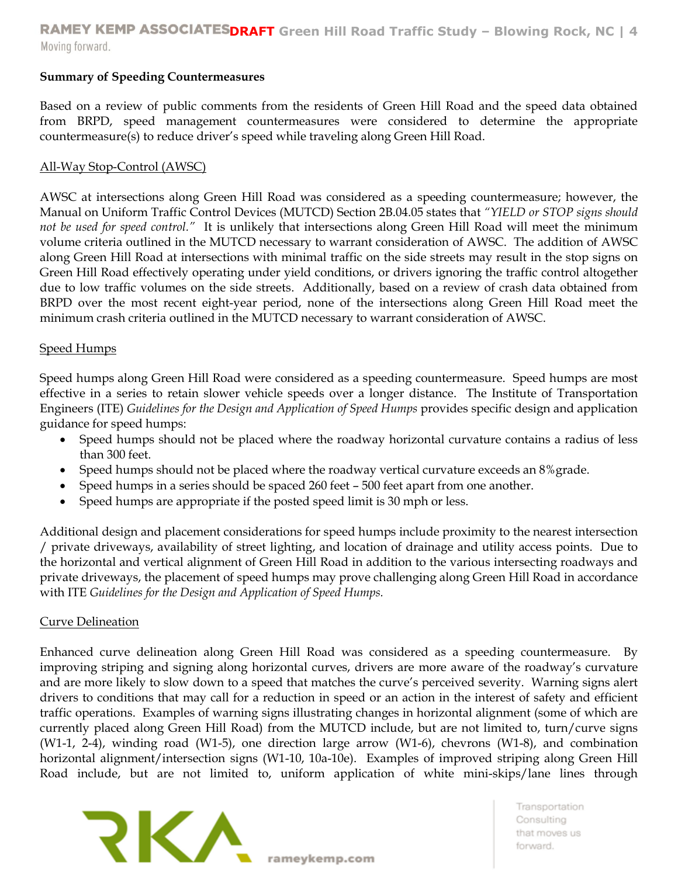# **Summary of Speeding Countermeasures**

Based on a review of public comments from the residents of Green Hill Road and the speed data obtained from BRPD, speed management countermeasures were considered to determine the appropriate countermeasure(s) to reduce driver's speed while traveling along Green Hill Road.

#### All-Way Stop-Control (AWSC)

AWSC at intersections along Green Hill Road was considered as a speeding countermeasure; however, the Manual on Uniform Traffic Control Devices (MUTCD) Section 2B.04.05 states that *"YIELD or STOP signs should not be used for speed control."* It is unlikely that intersections along Green Hill Road will meet the minimum volume criteria outlined in the MUTCD necessary to warrant consideration of AWSC. The addition of AWSC along Green Hill Road at intersections with minimal traffic on the side streets may result in the stop signs on Green Hill Road effectively operating under yield conditions, or drivers ignoring the traffic control altogether due to low traffic volumes on the side streets. Additionally, based on a review of crash data obtained from BRPD over the most recent eight-year period, none of the intersections along Green Hill Road meet the minimum crash criteria outlined in the MUTCD necessary to warrant consideration of AWSC.

# Speed Humps

Speed humps along Green Hill Road were considered as a speeding countermeasure. Speed humps are most effective in a series to retain slower vehicle speeds over a longer distance. The Institute of Transportation Engineers (ITE) *Guidelines for the Design and Application of Speed Humps* provides specific design and application guidance for speed humps:

- Speed humps should not be placed where the roadway horizontal curvature contains a radius of less than 300 feet.
- Speed humps should not be placed where the roadway vertical curvature exceeds an 8% grade.
- Speed humps in a series should be spaced 260 feet 500 feet apart from one another.
- Speed humps are appropriate if the posted speed limit is 30 mph or less.

Additional design and placement considerations for speed humps include proximity to the nearest intersection / private driveways, availability of street lighting, and location of drainage and utility access points. Due to the horizontal and vertical alignment of Green Hill Road in addition to the various intersecting roadways and private driveways, the placement of speed humps may prove challenging along Green Hill Road in accordance with ITE *Guidelines for the Design and Application of Speed Humps.* 

#### Curve Delineation

Enhanced curve delineation along Green Hill Road was considered as a speeding countermeasure. By improving striping and signing along horizontal curves, drivers are more aware of the roadway's curvature and are more likely to slow down to a speed that matches the curve's perceived severity. Warning signs alert drivers to conditions that may call for a reduction in speed or an action in the interest of safety and efficient traffic operations. Examples of warning signs illustrating changes in horizontal alignment (some of which are currently placed along Green Hill Road) from the MUTCD include, but are not limited to, turn/curve signs (W1-1, 2-4), winding road (W1-5), one direction large arrow (W1-6), chevrons (W1-8), and combination horizontal alignment/intersection signs (W1-10, 10a-10e). Examples of improved striping along Green Hill Road include, but are not limited to, uniform application of white mini-skips/lane lines through

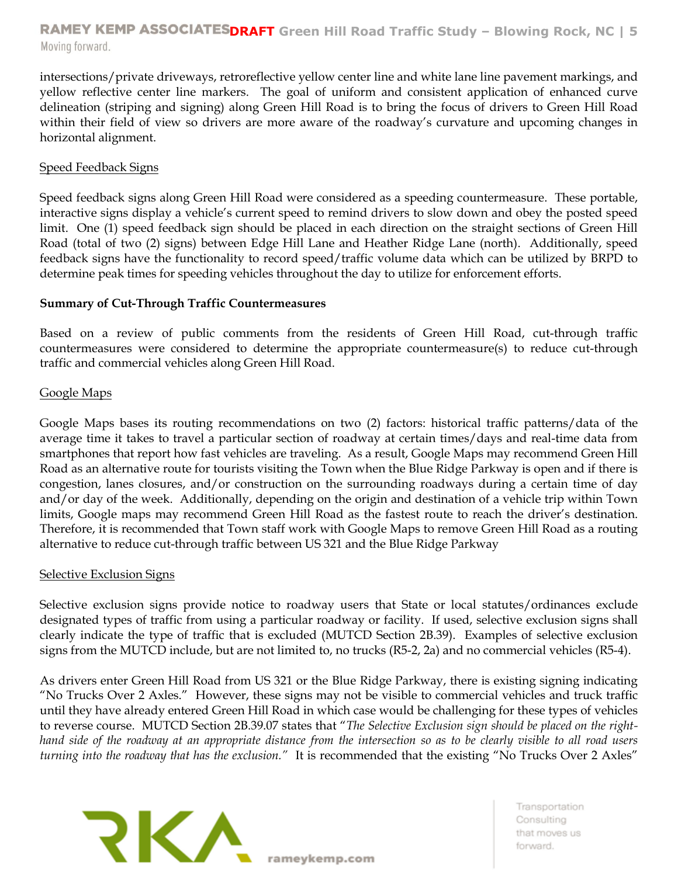# **RAMEY KEMP ASSOCIATESDRAFT** Green Hill Road Traffic Study - Blowing Rock, NC | 5 Moving forward.

intersections/private driveways, retroreflective yellow center line and white lane line pavement markings, and yellow reflective center line markers. The goal of uniform and consistent application of enhanced curve delineation (striping and signing) along Green Hill Road is to bring the focus of drivers to Green Hill Road within their field of view so drivers are more aware of the roadway's curvature and upcoming changes in horizontal alignment.

# Speed Feedback Signs

Speed feedback signs along Green Hill Road were considered as a speeding countermeasure. These portable, interactive signs display a vehicle's current speed to remind drivers to slow down and obey the posted speed limit. One (1) speed feedback sign should be placed in each direction on the straight sections of Green Hill Road (total of two (2) signs) between Edge Hill Lane and Heather Ridge Lane (north). Additionally, speed feedback signs have the functionality to record speed/traffic volume data which can be utilized by BRPD to determine peak times for speeding vehicles throughout the day to utilize for enforcement efforts.

# **Summary of Cut-Through Traffic Countermeasures**

Based on a review of public comments from the residents of Green Hill Road, cut-through traffic countermeasures were considered to determine the appropriate countermeasure(s) to reduce cut-through traffic and commercial vehicles along Green Hill Road.

# Google Maps

Google Maps bases its routing recommendations on two (2) factors: historical traffic patterns/data of the average time it takes to travel a particular section of roadway at certain times/days and real-time data from smartphones that report how fast vehicles are traveling. As a result, Google Maps may recommend Green Hill Road as an alternative route for tourists visiting the Town when the Blue Ridge Parkway is open and if there is congestion, lanes closures, and/or construction on the surrounding roadways during a certain time of day and/or day of the week. Additionally, depending on the origin and destination of a vehicle trip within Town limits, Google maps may recommend Green Hill Road as the fastest route to reach the driver's destination. Therefore, it is recommended that Town staff work with Google Maps to remove Green Hill Road as a routing alternative to reduce cut-through traffic between US 321 and the Blue Ridge Parkway

#### Selective Exclusion Signs

Selective exclusion signs provide notice to roadway users that State or local statutes/ordinances exclude designated types of traffic from using a particular roadway or facility. If used, selective exclusion signs shall clearly indicate the type of traffic that is excluded (MUTCD Section 2B.39). Examples of selective exclusion signs from the MUTCD include, but are not limited to, no trucks (R5-2, 2a) and no commercial vehicles (R5-4).

As drivers enter Green Hill Road from US 321 or the Blue Ridge Parkway, there is existing signing indicating "No Trucks Over 2 Axles." However, these signs may not be visible to commercial vehicles and truck traffic until they have already entered Green Hill Road in which case would be challenging for these types of vehicles to reverse course. MUTCD Section 2B.39.07 states that "*The Selective Exclusion sign should be placed on the righthand side of the roadway at an appropriate distance from the intersection so as to be clearly visible to all road users turning into the roadway that has the exclusion."* It is recommended that the existing "No Trucks Over 2 Axles"

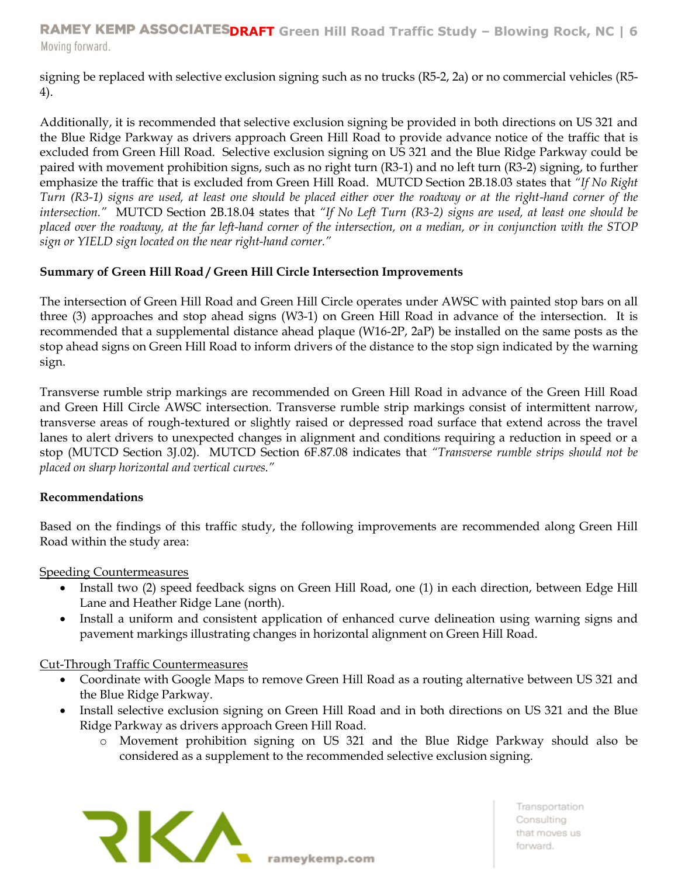**RAMEY KEMP ASSOCIATESDRAFT** Green Hill Road Traffic Study - Blowing Rock, NC | 6 Moving forward.

signing be replaced with selective exclusion signing such as no trucks (R5-2, 2a) or no commercial vehicles (R5- 4).

Additionally, it is recommended that selective exclusion signing be provided in both directions on US 321 and the Blue Ridge Parkway as drivers approach Green Hill Road to provide advance notice of the traffic that is excluded from Green Hill Road. Selective exclusion signing on US 321 and the Blue Ridge Parkway could be paired with movement prohibition signs, such as no right turn (R3-1) and no left turn (R3-2) signing, to further emphasize the traffic that is excluded from Green Hill Road. MUTCD Section 2B.18.03 states that *"If No Right Turn (R3-1) signs are used, at least one should be placed either over the roadway or at the right-hand corner of the intersection."* MUTCD Section 2B.18.04 states that *"If No Left Turn (R3-2) signs are used, at least one should be placed over the roadway, at the far left-hand corner of the intersection, on a median, or in conjunction with the STOP sign or YIELD sign located on the near right-hand corner."*

# **Summary of Green Hill Road / Green Hill Circle Intersection Improvements**

The intersection of Green Hill Road and Green Hill Circle operates under AWSC with painted stop bars on all three (3) approaches and stop ahead signs (W3-1) on Green Hill Road in advance of the intersection. It is recommended that a supplemental distance ahead plaque (W16-2P, 2aP) be installed on the same posts as the stop ahead signs on Green Hill Road to inform drivers of the distance to the stop sign indicated by the warning sign.

Transverse rumble strip markings are recommended on Green Hill Road in advance of the Green Hill Road and Green Hill Circle AWSC intersection. Transverse rumble strip markings consist of intermittent narrow, transverse areas of rough-textured or slightly raised or depressed road surface that extend across the travel lanes to alert drivers to unexpected changes in alignment and conditions requiring a reduction in speed or a stop (MUTCD Section 3J.02). MUTCD Section 6F.87.08 indicates that *"Transverse rumble strips should not be placed on sharp horizontal and vertical curves."*

# **Recommendations**

Based on the findings of this traffic study, the following improvements are recommended along Green Hill Road within the study area:

Speeding Countermeasures

- Install two (2) speed feedback signs on Green Hill Road, one (1) in each direction, between Edge Hill Lane and Heather Ridge Lane (north).
- Install a uniform and consistent application of enhanced curve delineation using warning signs and pavement markings illustrating changes in horizontal alignment on Green Hill Road.

# Cut-Through Traffic Countermeasures

- Coordinate with Google Maps to remove Green Hill Road as a routing alternative between US 321 and the Blue Ridge Parkway.
- Install selective exclusion signing on Green Hill Road and in both directions on US 321 and the Blue Ridge Parkway as drivers approach Green Hill Road.
	- o Movement prohibition signing on US 321 and the Blue Ridge Parkway should also be considered as a supplement to the recommended selective exclusion signing.